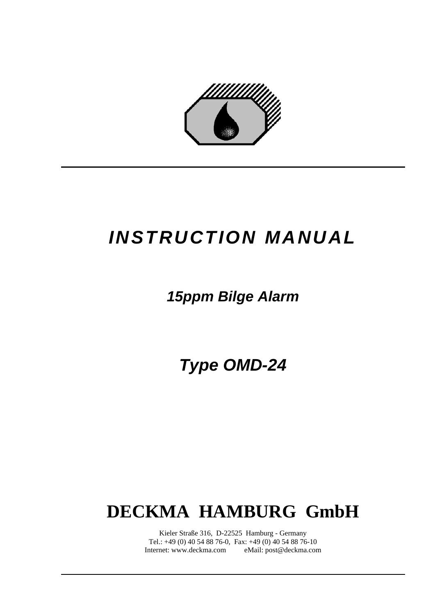

# *INSTRUCTION MANUAL*

## *15ppm Bilge Alarm*

*Type OMD-24* 

# **DECKMA HAMBURG GmbH**

Kieler Straße 316, D-22525 Hamburg - Germany Tel.: +49 (0) 40 54 88 76-0, Fax: +49 (0) 40 54 88 76-10 Internet: www.deckma.com eMail: post@deckma.com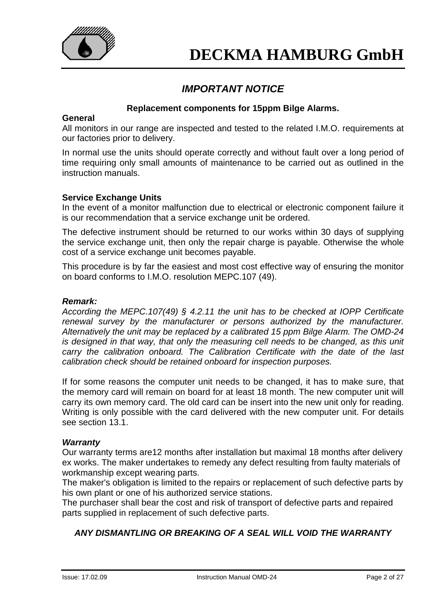

## *IMPORTANT NOTICE*

### **Replacement components for 15ppm Bilge Alarms.**

#### **General**

All monitors in our range are inspected and tested to the related I.M.O. requirements at our factories prior to delivery.

In normal use the units should operate correctly and without fault over a long period of time requiring only small amounts of maintenance to be carried out as outlined in the instruction manuals.

### **Service Exchange Units**

In the event of a monitor malfunction due to electrical or electronic component failure it is our recommendation that a service exchange unit be ordered.

The defective instrument should be returned to our works within 30 days of supplying the service exchange unit, then only the repair charge is payable. Otherwise the whole cost of a service exchange unit becomes payable.

This procedure is by far the easiest and most cost effective way of ensuring the monitor on board conforms to I.M.O. resolution MEPC.107 (49).

### *Remark:*

*According the MEPC.107(49) § 4.2.11 the unit has to be checked at IOPP Certificate renewal survey by the manufacturer or persons authorized by the manufacturer. Alternatively the unit may be replaced by a calibrated 15 ppm Bilge Alarm. The OMD-24 is designed in that way, that only the measuring cell needs to be changed, as this unit carry the calibration onboard. The Calibration Certificate with the date of the last calibration check should be retained onboard for inspection purposes.* 

If for some reasons the computer unit needs to be changed, it has to make sure, that the memory card will remain on board for at least 18 month. The new computer unit will carry its own memory card. The old card can be insert into the new unit only for reading. Writing is only possible with the card delivered with the new computer unit. For details see section 13.1.

#### *Warranty*

Our warranty terms are12 months after installation but maximal 18 months after delivery ex works. The maker undertakes to remedy any defect resulting from faulty materials of workmanship except wearing parts.

The maker's obligation is limited to the repairs or replacement of such defective parts by his own plant or one of his authorized service stations.

The purchaser shall bear the cost and risk of transport of defective parts and repaired parts supplied in replacement of such defective parts.

### *ANY DISMANTLING OR BREAKING OF A SEAL WILL VOID THE WARRANTY*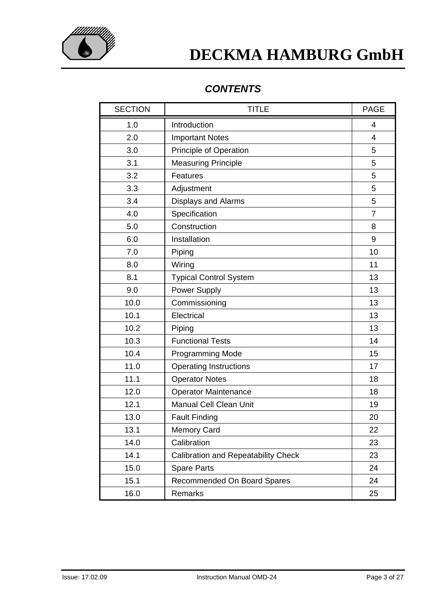

## *CONTENTS*

| <b>SECTION</b> | <b>TITLE</b>                               | <b>PAGE</b>    |
|----------------|--------------------------------------------|----------------|
| 1.0            | Introduction                               | 4              |
| 2.0            | <b>Important Notes</b>                     | $\overline{4}$ |
| 3.0            | <b>Principle of Operation</b>              | 5              |
| 3.1            | <b>Measuring Principle</b>                 | 5              |
| 3.2            | Features                                   | 5              |
| 3.3            | Adjustment                                 | 5              |
| 3.4            | <b>Displays and Alarms</b>                 | 5              |
| 4.0            | Specification                              | $\overline{7}$ |
| 5.0            | Construction                               | 8              |
| 6.0            | Installation                               | 9              |
| 7.0            | Piping                                     | 10             |
| 8.0            | Wiring                                     | 11             |
| 8.1            | <b>Typical Control System</b>              | 13             |
| 9.0            | Power Supply                               | 13             |
| 10.0           | Commissioning                              | 13             |
| 10.1           | Electrical                                 | 13             |
| 10.2           | Piping                                     | 13             |
| 10.3           | <b>Functional Tests</b>                    | 14             |
| 10.4           | Programming Mode                           | 15             |
| 11.0           | <b>Operating Instructions</b>              | 17             |
| 11.1           | <b>Operator Notes</b>                      | 18             |
| 12.0           | <b>Operator Maintenance</b>                | 18             |
| 12.1           | <b>Manual Cell Clean Unit</b>              | 19             |
| 13.0           | <b>Fault Finding</b>                       | 20             |
| 13.1           | Memory Card                                | 22             |
| 14.0           | Calibration                                | 23             |
| 14.1           | <b>Calibration and Repeatability Check</b> | 23             |
| 15.0           | <b>Spare Parts</b>                         | 24             |
| 15.1           | Recommended On Board Spares                | 24             |
| 16.0           | Remarks                                    | 25             |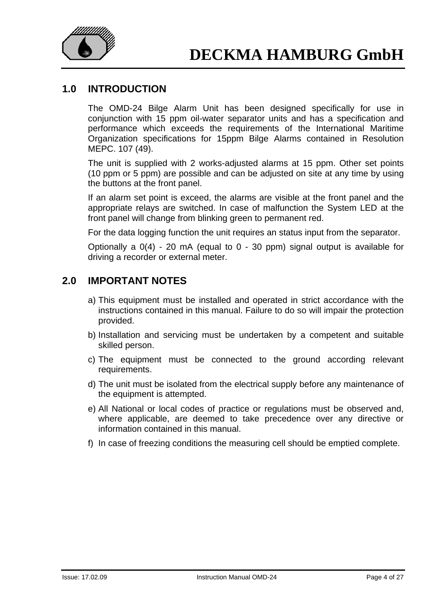

### **1.0 INTRODUCTION**

The OMD-24 Bilge Alarm Unit has been designed specifically for use in conjunction with 15 ppm oil-water separator units and has a specification and performance which exceeds the requirements of the International Maritime Organization specifications for 15ppm Bilge Alarms contained in Resolution MEPC. 107 (49).

The unit is supplied with 2 works-adjusted alarms at 15 ppm. Other set points (10 ppm or 5 ppm) are possible and can be adjusted on site at any time by using the buttons at the front panel.

If an alarm set point is exceed, the alarms are visible at the front panel and the appropriate relays are switched. In case of malfunction the System LED at the front panel will change from blinking green to permanent red.

For the data logging function the unit requires an status input from the separator.

Optionally a 0(4) - 20 mA (equal to 0 - 30 ppm) signal output is available for driving a recorder or external meter.

## **2.0 IMPORTANT NOTES**

- a) This equipment must be installed and operated in strict accordance with the instructions contained in this manual. Failure to do so will impair the protection provided.
- b) Installation and servicing must be undertaken by a competent and suitable skilled person.
- c) The equipment must be connected to the ground according relevant requirements.
- d) The unit must be isolated from the electrical supply before any maintenance of the equipment is attempted.
- e) All National or local codes of practice or regulations must be observed and, where applicable, are deemed to take precedence over any directive or information contained in this manual.
- f) In case of freezing conditions the measuring cell should be emptied complete.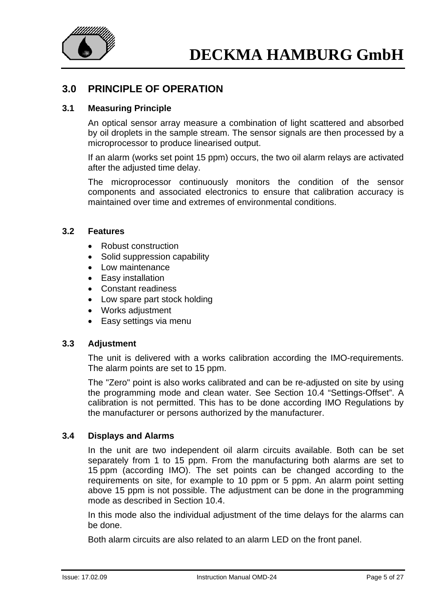

## **3.0 PRINCIPLE OF OPERATION**

### **3.1 Measuring Principle**

An optical sensor array measure a combination of light scattered and absorbed by oil droplets in the sample stream. The sensor signals are then processed by a microprocessor to produce linearised output.

If an alarm (works set point 15 ppm) occurs, the two oil alarm relays are activated after the adjusted time delay.

The microprocessor continuously monitors the condition of the sensor components and associated electronics to ensure that calibration accuracy is maintained over time and extremes of environmental conditions.

### **3.2 Features**

- Robust construction
- Solid suppression capability
- Low maintenance
- Easy installation
- Constant readiness
- Low spare part stock holding
- Works adjustment
- Easy settings via menu

### **3.3 Adjustment**

The unit is delivered with a works calibration according the IMO-requirements. The alarm points are set to 15 ppm.

The "Zero" point is also works calibrated and can be re-adjusted on site by using the programming mode and clean water. See Section 10.4 "Settings-Offset". A calibration is not permitted. This has to be done according IMO Regulations by the manufacturer or persons authorized by the manufacturer.

### **3.4 Displays and Alarms**

In the unit are two independent oil alarm circuits available. Both can be set separately from 1 to 15 ppm. From the manufacturing both alarms are set to 15 ppm (according IMO). The set points can be changed according to the requirements on site, for example to 10 ppm or 5 ppm. An alarm point setting above 15 ppm is not possible. The adjustment can be done in the programming mode as described in Section 10.4.

In this mode also the individual adjustment of the time delays for the alarms can be done.

Both alarm circuits are also related to an alarm LED on the front panel.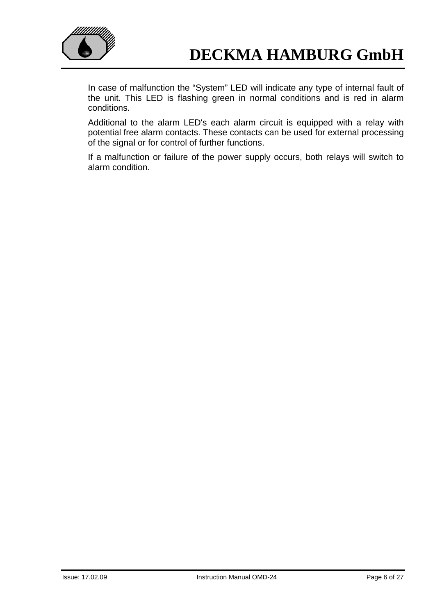

In case of malfunction the "System" LED will indicate any type of internal fault of the unit. This LED is flashing green in normal conditions and is red in alarm conditions.

Additional to the alarm LED's each alarm circuit is equipped with a relay with potential free alarm contacts. These contacts can be used for external processing of the signal or for control of further functions.

If a malfunction or failure of the power supply occurs, both relays will switch to alarm condition.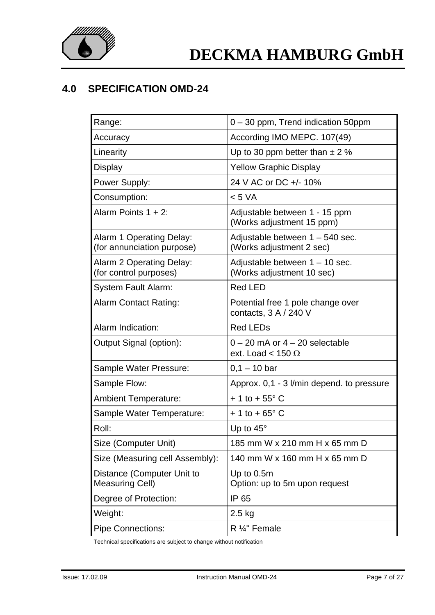

## **4.0 SPECIFICATION OMD-24**

| Range:                                                 | 0 - 30 ppm, Trend indication 50ppm                             |
|--------------------------------------------------------|----------------------------------------------------------------|
| Accuracy                                               | According IMO MEPC. 107(49)                                    |
| Linearity                                              | Up to 30 ppm better than $\pm$ 2 %                             |
| <b>Display</b>                                         | <b>Yellow Graphic Display</b>                                  |
| Power Supply:                                          | 24 V AC or DC +/- 10%                                          |
| Consumption:                                           | < 5 VA                                                         |
| Alarm Points $1 + 2$ :                                 | Adjustable between 1 - 15 ppm<br>(Works adjustment 15 ppm)     |
| Alarm 1 Operating Delay:<br>(for annunciation purpose) | Adjustable between 1 - 540 sec.<br>(Works adjustment 2 sec)    |
| Alarm 2 Operating Delay:<br>(for control purposes)     | Adjustable between $1 - 10$ sec.<br>(Works adjustment 10 sec)  |
| <b>System Fault Alarm:</b>                             | <b>Red LED</b>                                                 |
| <b>Alarm Contact Rating:</b>                           | Potential free 1 pole change over<br>contacts, 3 A / 240 V     |
| Alarm Indication:                                      | <b>Red LEDs</b>                                                |
| Output Signal (option):                                | $0 - 20$ mA or $4 - 20$ selectable<br>ext. Load < 150 $\Omega$ |
| Sample Water Pressure:                                 | $0,1 - 10$ bar                                                 |
| Sample Flow:                                           | Approx. 0,1 - 3 I/min depend. to pressure                      |
| <b>Ambient Temperature:</b>                            | $+1$ to $+55^{\circ}$ C                                        |
| Sample Water Temperature:                              | $+1$ to $+65^{\circ}$ C                                        |
| Roll:                                                  | Up to $45^\circ$                                               |
| Size (Computer Unit)                                   | 185 mm W x 210 mm H x 65 mm D                                  |
| Size (Measuring cell Assembly):                        | 140 mm W x 160 mm H x 65 mm D                                  |
| Distance (Computer Unit to<br><b>Measuring Cell)</b>   | Up to $0.5m$<br>Option: up to 5m upon request                  |
| Degree of Protection:                                  | IP 65                                                          |
| Weight:                                                | $2.5$ kg                                                       |
| <b>Pipe Connections:</b>                               | R 1/4" Female                                                  |

Technical specifications are subject to change without notification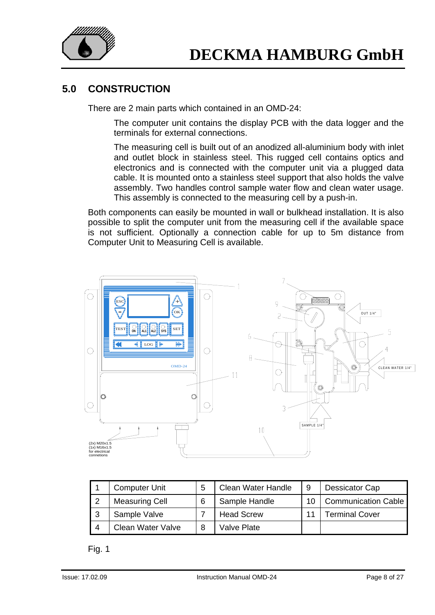

## **5.0 CONSTRUCTION**

There are 2 main parts which contained in an OMD-24:

The computer unit contains the display PCB with the data logger and the terminals for external connections.

The measuring cell is built out of an anodized all-aluminium body with inlet and outlet block in stainless steel. This rugged cell contains optics and electronics and is connected with the computer unit via a plugged data cable. It is mounted onto a stainless steel support that also holds the valve assembly. Two handles control sample water flow and clean water usage. This assembly is connected to the measuring cell by a push-in.

Both components can easily be mounted in wall or bulkhead installation. It is also possible to split the computer unit from the measuring cell if the available space is not sufficient. Optionally a connection cable for up to 5m distance from Computer Unit to Measuring Cell is available.



|   | <b>Computer Unit</b>  | <b>Clean Water Handle</b> | 9  | Dessicator Cap             |
|---|-----------------------|---------------------------|----|----------------------------|
|   | <b>Measuring Cell</b> | Sample Handle             | 10 | <b>Communication Cable</b> |
| ົ | Sample Valve          | <b>Head Screw</b>         |    | <b>Terminal Cover</b>      |
|   | Clean Water Valve     | Valve Plate               |    |                            |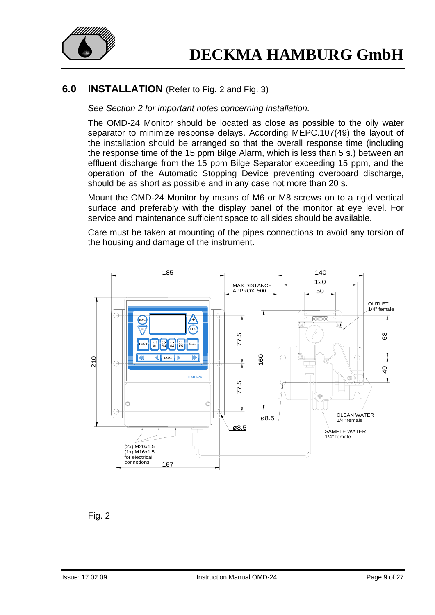

### **6.0 INSTALLATION** (Refer to Fig. 2 and Fig. 3)

*See Section 2 for important notes concerning installation.* 

The OMD-24 Monitor should be located as close as possible to the oily water separator to minimize response delays. According MEPC.107(49) the layout of the installation should be arranged so that the overall response time (including the response time of the 15 ppm Bilge Alarm, which is less than 5 s.) between an effluent discharge from the 15 ppm Bilge Separator exceeding 15 ppm, and the operation of the Automatic Stopping Device preventing overboard discharge, should be as short as possible and in any case not more than 20 s.

Mount the OMD-24 Monitor by means of M6 or M8 screws on to a rigid vertical surface and preferably with the display panel of the monitor at eye level. For service and maintenance sufficient space to all sides should be available.

Care must be taken at mounting of the pipes connections to avoid any torsion of the housing and damage of the instrument.



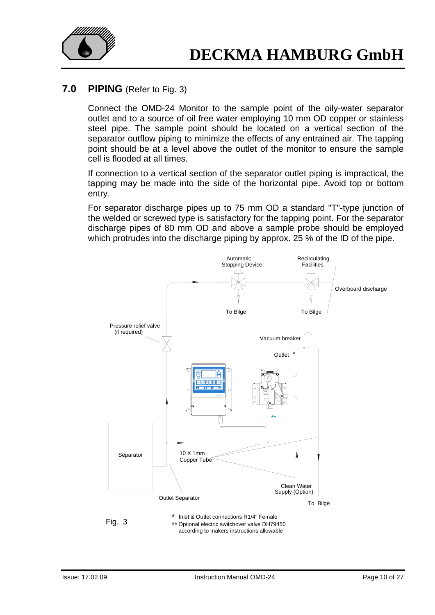

### **7.0 PIPING** (Refer to Fig. 3)

Connect the OMD-24 Monitor to the sample point of the oily-water separator outlet and to a source of oil free water employing 10 mm OD copper or stainless steel pipe. The sample point should be located on a vertical section of the separator outflow piping to minimize the effects of any entrained air. The tapping point should be at a level above the outlet of the monitor to ensure the sample cell is flooded at all times.

If connection to a vertical section of the separator outlet piping is impractical, the tapping may be made into the side of the horizontal pipe. Avoid top or bottom entry.

For separator discharge pipes up to 75 mm OD a standard "T"-type junction of the welded or screwed type is satisfactory for the tapping point. For the separator discharge pipes of 80 mm OD and above a sample probe should be employed which protrudes into the discharge piping by approx. 25 % of the ID of the pipe.

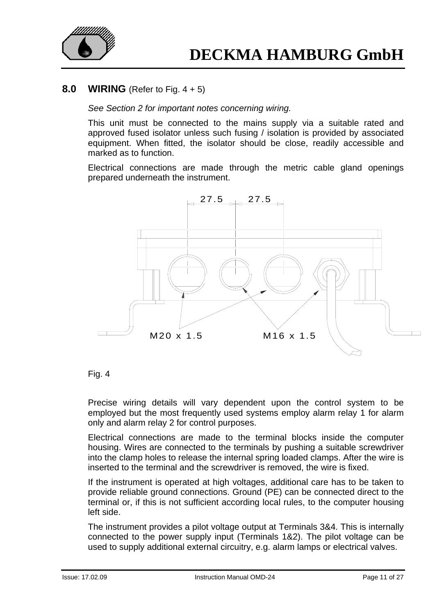

### **8.0 WIRING** (Refer to Fig. 4 + 5)

#### *See Section 2 for important notes concerning wiring.*

This unit must be connected to the mains supply via a suitable rated and approved fused isolator unless such fusing / isolation is provided by associated equipment. When fitted, the isolator should be close, readily accessible and marked as to function.

Electrical connections are made through the metric cable gland openings prepared underneath the instrument.





Precise wiring details will vary dependent upon the control system to be employed but the most frequently used systems employ alarm relay 1 for alarm only and alarm relay 2 for control purposes.

Electrical connections are made to the terminal blocks inside the computer housing. Wires are connected to the terminals by pushing a suitable screwdriver into the clamp holes to release the internal spring loaded clamps. After the wire is inserted to the terminal and the screwdriver is removed, the wire is fixed.

If the instrument is operated at high voltages, additional care has to be taken to provide reliable ground connections. Ground (PE) can be connected direct to the terminal or, if this is not sufficient according local rules, to the computer housing left side.

The instrument provides a pilot voltage output at Terminals 3&4. This is internally connected to the power supply input (Terminals 1&2). The pilot voltage can be used to supply additional external circuitry, e.g. alarm lamps or electrical valves.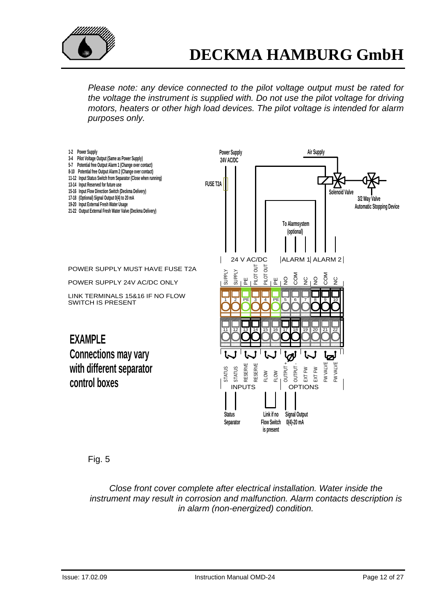

*Please note: any device connected to the pilot voltage output must be rated for the voltage the instrument is supplied with. Do not use the pilot voltage for driving motors, heaters or other high load devices. The pilot voltage is intended for alarm purposes only.* 



Fig. 5

*Close front cover complete after electrical installation. Water inside the instrument may result in corrosion and malfunction. Alarm contacts description is in alarm (non-energized) condition.*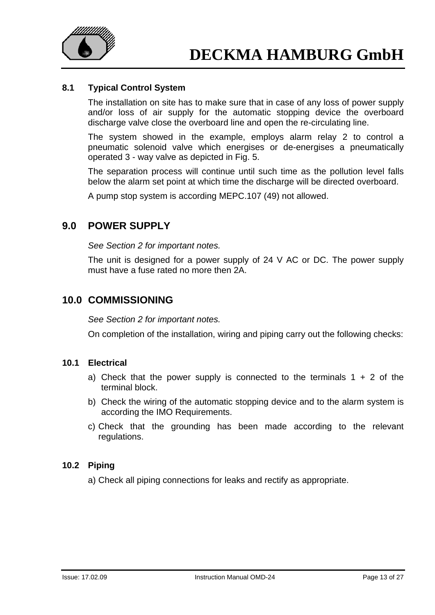

### **8.1 Typical Control System**

The installation on site has to make sure that in case of any loss of power supply and/or loss of air supply for the automatic stopping device the overboard discharge valve close the overboard line and open the re-circulating line.

The system showed in the example, employs alarm relay 2 to control a pneumatic solenoid valve which energises or de-energises a pneumatically operated 3 - way valve as depicted in Fig. 5.

The separation process will continue until such time as the pollution level falls below the alarm set point at which time the discharge will be directed overboard.

A pump stop system is according MEPC.107 (49) not allowed.

### **9.0 POWER SUPPLY**

*See Section 2 for important notes.* 

The unit is designed for a power supply of 24 V AC or DC. The power supply must have a fuse rated no more then 2A.

### **10.0 COMMISSIONING**

*See Section 2 for important notes.* 

On completion of the installation, wiring and piping carry out the following checks:

### **10.1 Electrical**

- a) Check that the power supply is connected to the terminals  $1 + 2$  of the terminal block.
- b) Check the wiring of the automatic stopping device and to the alarm system is according the IMO Requirements.
- c) Check that the grounding has been made according to the relevant regulations.

### **10.2 Piping**

a) Check all piping connections for leaks and rectify as appropriate.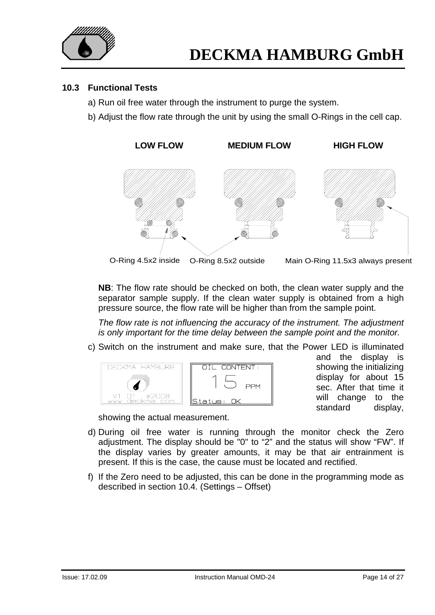

### **10.3 Functional Tests**

- a) Run oil free water through the instrument to purge the system.
- b) Adjust the flow rate through the unit by using the small O-Rings in the cell cap.



**NB**: The flow rate should be checked on both, the clean water supply and the separator sample supply. If the clean water supply is obtained from a high pressure source, the flow rate will be higher than from the sample point.

 *The flow rate is not influencing the accuracy of the instrument. The adjustment is only important for the time delay between the sample point and the monitor.* 

c) Switch on the instrument and make sure, that the Power LED is illuminated



and the display is showing the initializing display for about 15 sec. After that time it will change to the standard display,

showing the actual measurement.

- d) During oil free water is running through the monitor check the Zero adjustment. The display should be "0" to "2" and the status will show "FW". If the display varies by greater amounts, it may be that air entrainment is present. If this is the case, the cause must be located and rectified.
- f) If the Zero need to be adjusted, this can be done in the programming mode as described in section 10.4. (Settings – Offset)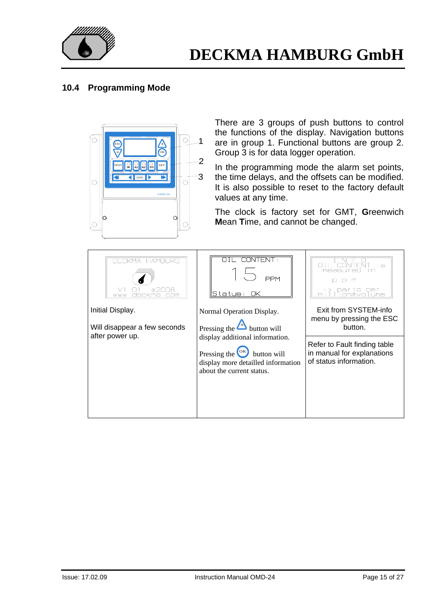

### **10.4 Programming Mode**



There are 3 groups of push buttons to control the functions of the display. Navigation buttons are in group 1. Functional buttons are group 2. Group 3 is for data logger operation.

In the programming mode the alarm set points, the time delays, and the offsets can be modified. It is also possible to reset to the factory default values at any time.

The clock is factory set for GMT, **G**reenwich **M**ean **T**ime, and cannot be changed.

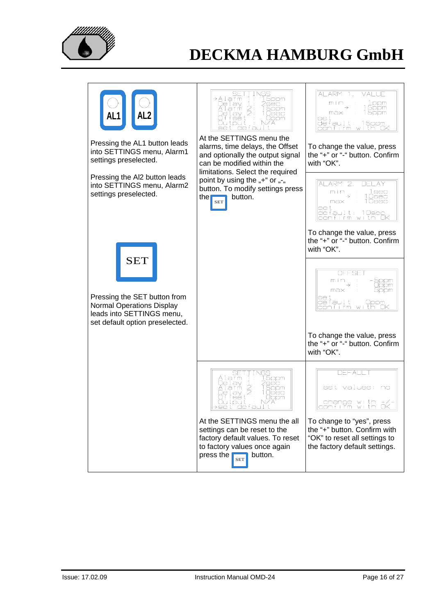

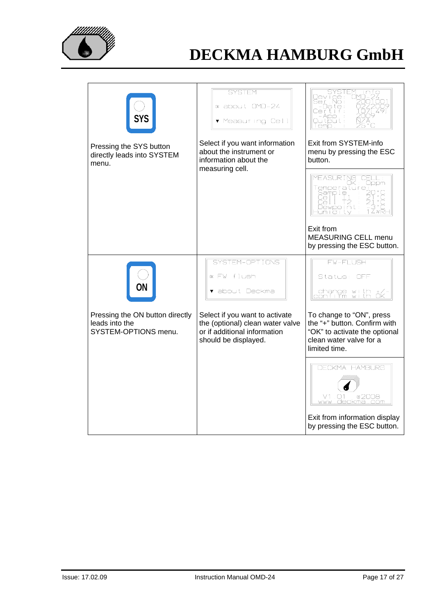

| SYS<br>Pressing the SYS button<br>directly leads into SYSTEM<br>menu.     | <b>SYSTEM</b><br><sup>0K</sup> about OMD-24<br>▼ Measuring Cell<br>Select if you want information<br>about the instrument or<br>information about the | SYSTEM<br>info<br>Jevice:<br>Ser No:<br>Datę:<br>Duitbuit :<br>l emio<br>Exit from SYSTEM-info<br>menu by pressing the ESC<br>button. |
|---------------------------------------------------------------------------|-------------------------------------------------------------------------------------------------------------------------------------------------------|---------------------------------------------------------------------------------------------------------------------------------------|
|                                                                           | measuring cell.                                                                                                                                       | MEASURING<br>Oppm<br>Temperature]<br>းမြို့<br>မြို့ကို 1 မို <sub>1</sub><br>æ<br>ell<br>Dewpolnti<br><u>Humidity</u><br>Exit from   |
|                                                                           |                                                                                                                                                       | <b>MEASURING CELL menu</b><br>by pressing the ESC button.                                                                             |
|                                                                           | SYSTEM-OPTIONS<br>ok FW flush<br>▼ about Deckma                                                                                                       | <b>FW-FLUSH</b><br>Status: OFF<br>change with +/<br>confirm with OK                                                                   |
| Pressing the ON button directly<br>leads into the<br>SYSTEM-OPTIONS menu. | Select if you want to activate<br>the (optional) clean water valve<br>or if additional information<br>should be displayed.                            | To change to "ON", press<br>the "+" button. Confirm with<br>"OK" to activate the optional<br>clean water valve for a<br>limited time. |
|                                                                           |                                                                                                                                                       | <b>DECKMA HAMBURG</b><br>@2008<br>V1.01<br><u>www.deckma.com</u>                                                                      |
|                                                                           |                                                                                                                                                       | Exit from information display<br>by pressing the ESC button.                                                                          |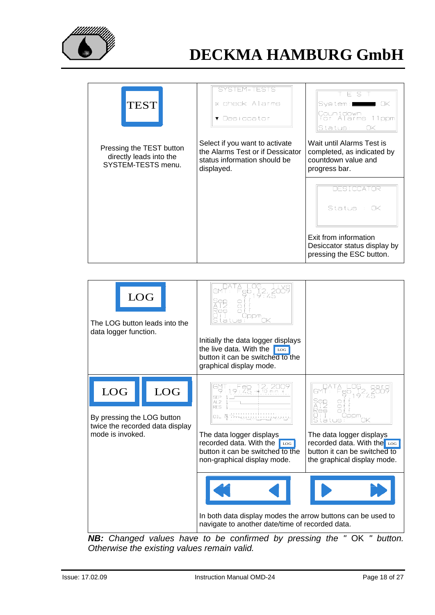

| <b>TEST</b>                                                               | SYSTEM-TESTS<br>w check Alarms<br>▼ Desiccator                                                                   | ΕS<br>System:<br>OK<br>Countdown<br>for Alarms 11ppm<br>Status:<br>OK                           |
|---------------------------------------------------------------------------|------------------------------------------------------------------------------------------------------------------|-------------------------------------------------------------------------------------------------|
| Pressing the TEST button<br>directly leads into the<br>SYSTEM-TESTS menu. | Select if you want to activate<br>the Alarms Test or if Dessicator<br>status information should be<br>displayed. | Wait until Alarms Test is<br>completed, as indicated by<br>countdown value and<br>progress bar. |
|                                                                           |                                                                                                                  | DESICCATOR<br>Status : OK                                                                       |
|                                                                           |                                                                                                                  | Exit from information<br>Desiccator status display by<br>pressing the ESC button.               |

| ${\rm LOG}$<br>The LOG button leads into the<br>data logger function. |                                               | ep<br>9<br>Res<br>∩t<br>Uppm<br>ПK<br>tatus.<br>Initially the data logger displays<br>the live data. With the<br>LOG<br>button it can be switched to the<br>graphical display mode.               |                                                                                                                                                                      |
|-----------------------------------------------------------------------|-----------------------------------------------|---------------------------------------------------------------------------------------------------------------------------------------------------------------------------------------------------|----------------------------------------------------------------------------------------------------------------------------------------------------------------------|
| LOG<br>By pressing the LOG button<br>mode is invoked.                 | <b>LOG</b><br>twice the recorded data display | $Feb 12, 2009$<br>9:45 $\rightarrow 10$ min $\rightarrow$<br>RFS<br>The data logger displays<br>recorded data. With the<br>LOG<br>button it can be switched to the<br>non-graphical display mode. | $F_5 = 19.2$<br>es<br>Oppm<br>ПK<br>atus :<br>The data logger displays<br>recorded data. With the Log<br>button it can be switched to<br>the graphical display mode. |
|                                                                       |                                               | In both data display modes the arrow buttons can be used to<br>navigate to another date/time of recorded data.                                                                                    |                                                                                                                                                                      |

*NB:* Changed values have to be confirmed by pressing the " OK " button. *Otherwise the existing values remain valid.*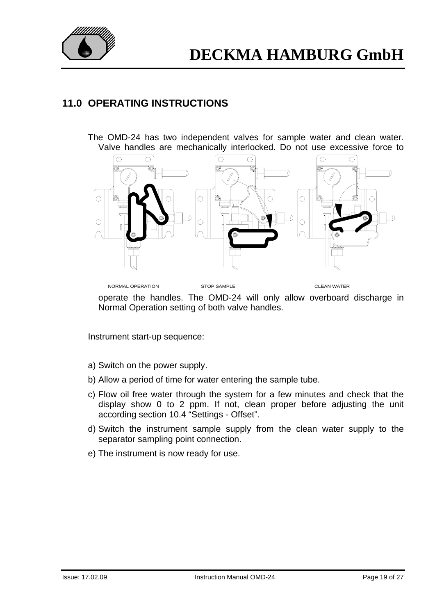

## **11.0 OPERATING INSTRUCTIONS**

The OMD-24 has two independent valves for sample water and clean water. Valve handles are mechanically interlocked. Do not use excessive force to



operate the handles. The OMD-24 will only allow overboard discharge in Normal Operation setting of both valve handles.

Instrument start-up sequence:

- a) Switch on the power supply.
- b) Allow a period of time for water entering the sample tube.
- c) Flow oil free water through the system for a few minutes and check that the display show 0 to 2 ppm. If not, clean proper before adjusting the unit according section 10.4 "Settings - Offset".
- d) Switch the instrument sample supply from the clean water supply to the separator sampling point connection.
- e) The instrument is now ready for use.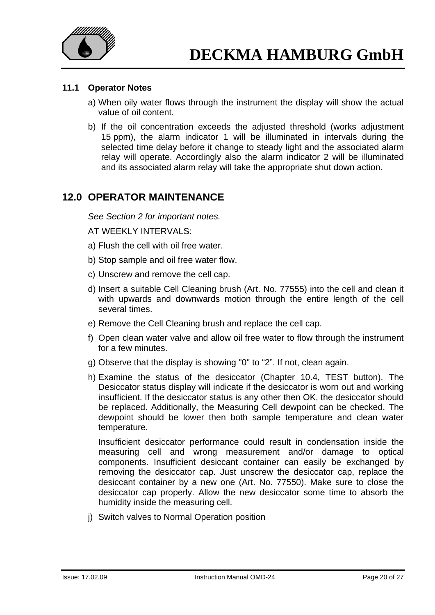

### **11.1 Operator Notes**

- a) When oily water flows through the instrument the display will show the actual value of oil content.
- b) If the oil concentration exceeds the adjusted threshold (works adjustment 15 ppm), the alarm indicator 1 will be illuminated in intervals during the selected time delay before it change to steady light and the associated alarm relay will operate. Accordingly also the alarm indicator 2 will be illuminated and its associated alarm relay will take the appropriate shut down action.

### **12.0 OPERATOR MAINTENANCE**

*See Section 2 for important notes.* 

AT WEEKLY INTERVALS:

- a) Flush the cell with oil free water.
- b) Stop sample and oil free water flow.
- c) Unscrew and remove the cell cap.
- d) Insert a suitable Cell Cleaning brush (Art. No. 77555) into the cell and clean it with upwards and downwards motion through the entire length of the cell several times.
- e) Remove the Cell Cleaning brush and replace the cell cap.
- f) Open clean water valve and allow oil free water to flow through the instrument for a few minutes.
- g) Observe that the display is showing "0" to "2". If not, clean again.
- h) Examine the status of the desiccator (Chapter 10.4, TEST button). The Desiccator status display will indicate if the desiccator is worn out and working insufficient. If the desiccator status is any other then OK, the desiccator should be replaced. Additionally, the Measuring Cell dewpoint can be checked. The dewpoint should be lower then both sample temperature and clean water temperature.

 Insufficient desiccator performance could result in condensation inside the measuring cell and wrong measurement and/or damage to optical components. Insufficient desiccant container can easily be exchanged by removing the desiccator cap. Just unscrew the desiccator cap, replace the desiccant container by a new one (Art. No. 77550). Make sure to close the desiccator cap properly. Allow the new desiccator some time to absorb the humidity inside the measuring cell.

j) Switch valves to Normal Operation position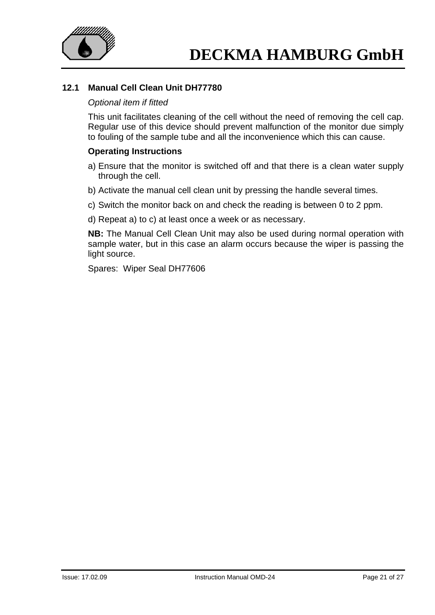

### **12.1 Manual Cell Clean Unit DH77780**

#### *Optional item if fitted*

This unit facilitates cleaning of the cell without the need of removing the cell cap. Regular use of this device should prevent malfunction of the monitor due simply to fouling of the sample tube and all the inconvenience which this can cause.

#### **Operating Instructions**

- a) Ensure that the monitor is switched off and that there is a clean water supply through the cell.
- b) Activate the manual cell clean unit by pressing the handle several times.
- c) Switch the monitor back on and check the reading is between 0 to 2 ppm.
- d) Repeat a) to c) at least once a week or as necessary.

**NB:** The Manual Cell Clean Unit may also be used during normal operation with sample water, but in this case an alarm occurs because the wiper is passing the light source.

Spares: Wiper Seal DH77606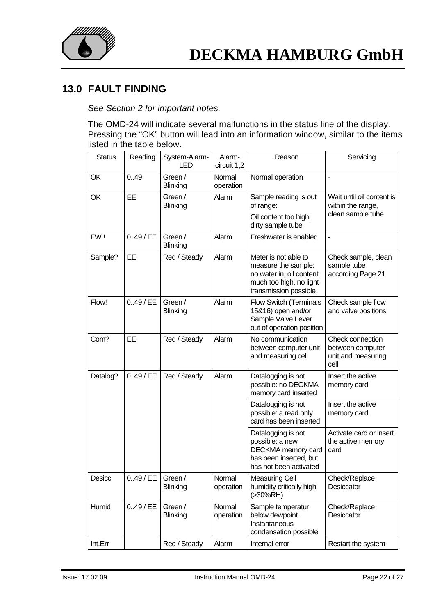

## **13.0 FAULT FINDING**

*See Section 2 for important notes.* 

The OMD-24 will indicate several malfunctions in the status line of the display. Pressing the "OK" button will lead into an information window, similar to the items listed in the table below.

| <b>Status</b> | Reading     | System-Alarm-<br><b>LED</b> | Alarm-<br>circuit 1,2 | Reason                                                                                                                      | Servicing                                                           |
|---------------|-------------|-----------------------------|-----------------------|-----------------------------------------------------------------------------------------------------------------------------|---------------------------------------------------------------------|
| OK            | 0.49        | Green /<br><b>Blinking</b>  | Normal<br>operation   | Normal operation                                                                                                            | $\blacksquare$                                                      |
| OK            | EE          | Green /<br><b>Blinking</b>  | Alarm                 | Sample reading is out<br>of range:<br>Oil content too high,                                                                 | Wait until oil content is<br>within the range,<br>clean sample tube |
|               |             |                             |                       | dirty sample tube                                                                                                           |                                                                     |
| FW!           | $0.49$ / EE | Green /<br><b>Blinking</b>  | Alarm                 | Freshwater is enabled                                                                                                       |                                                                     |
| Sample?       | EE          | Red / Steady                | Alarm                 | Meter is not able to<br>measure the sample:<br>no water in, oil content<br>much too high, no light<br>transmission possible | Check sample, clean<br>sample tube<br>according Page 21             |
| Flow!         | $0.49$ / EE | Green /<br>Blinking         | Alarm                 | <b>Flow Switch (Terminals</b><br>15&16) open and/or<br>Sample Valve Lever<br>out of operation position                      | Check sample flow<br>and valve positions                            |
| Com?          | EE          | Red / Steady                | Alarm                 | No communication<br>between computer unit<br>and measuring cell                                                             | Check connection<br>between computer<br>unit and measuring<br>cell  |
| Datalog?      | $0.49$ / EE | Red / Steady                | Alarm                 | Datalogging is not<br>possible: no DECKMA<br>memory card inserted                                                           | Insert the active<br>memory card                                    |
|               |             |                             |                       | Datalogging is not<br>possible: a read only<br>card has been inserted                                                       | Insert the active<br>memory card                                    |
|               |             |                             |                       | Datalogging is not<br>possible: a new<br>DECKMA memory card<br>has been inserted, but<br>has not been activated             | Activate card or insert<br>the active memory<br>card                |
| Desicc        | $0.49$ / EE | Green /<br><b>Blinking</b>  | Normal<br>operation   | <b>Measuring Cell</b><br>humidity critically high<br>(>30%RH)                                                               | Check/Replace<br>Desiccator                                         |
| Humid         | $0.49$ / EE | Green /<br><b>Blinking</b>  | Normal<br>operation   | Sample temperatur<br>below dewpoint.<br>Instantaneous<br>condensation possible                                              | Check/Replace<br>Desiccator                                         |
| Int.Err       |             | Red / Steady                | Alarm                 | Internal error                                                                                                              | Restart the system                                                  |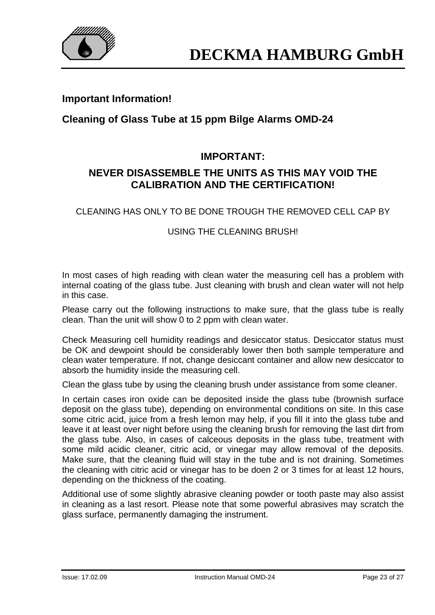

### **Important Information!**

## **Cleaning of Glass Tube at 15 ppm Bilge Alarms OMD-24**

## **IMPORTANT:**

## **NEVER DISASSEMBLE THE UNITS AS THIS MAY VOID THE CALIBRATION AND THE CERTIFICATION!**

CLEANING HAS ONLY TO BE DONE TROUGH THE REMOVED CELL CAP BY

### USING THE CLEANING BRUSH!

In most cases of high reading with clean water the measuring cell has a problem with internal coating of the glass tube. Just cleaning with brush and clean water will not help in this case.

Please carry out the following instructions to make sure, that the glass tube is really clean. Than the unit will show 0 to 2 ppm with clean water.

Check Measuring cell humidity readings and desiccator status. Desiccator status must be OK and dewpoint should be considerably lower then both sample temperature and clean water temperature. If not, change desiccant container and allow new desiccator to absorb the humidity inside the measuring cell.

Clean the glass tube by using the cleaning brush under assistance from some cleaner.

In certain cases iron oxide can be deposited inside the glass tube (brownish surface deposit on the glass tube), depending on environmental conditions on site. In this case some citric acid, juice from a fresh lemon may help, if you fill it into the glass tube and leave it at least over night before using the cleaning brush for removing the last dirt from the glass tube. Also, in cases of calceous deposits in the glass tube, treatment with some mild acidic cleaner, citric acid, or vinegar may allow removal of the deposits. Make sure, that the cleaning fluid will stay in the tube and is not draining. Sometimes the cleaning with citric acid or vinegar has to be doen 2 or 3 times for at least 12 hours, depending on the thickness of the coating.

Additional use of some slightly abrasive cleaning powder or tooth paste may also assist in cleaning as a last resort. Please note that some powerful abrasives may scratch the glass surface, permanently damaging the instrument.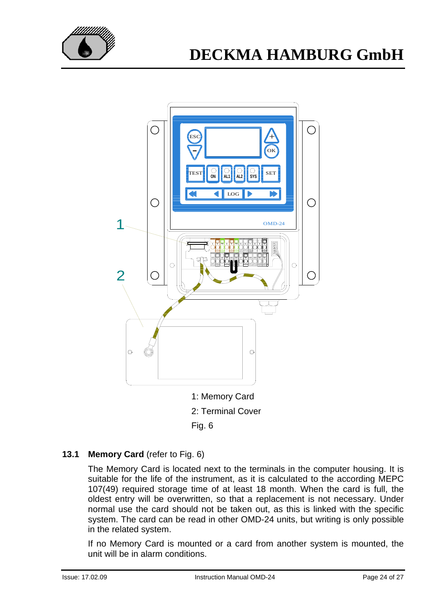



Fig. 6

### **13.1 Memory Card** (refer to Fig. 6)

The Memory Card is located next to the terminals in the computer housing. It is suitable for the life of the instrument, as it is calculated to the according MEPC 107(49) required storage time of at least 18 month. When the card is full, the oldest entry will be overwritten, so that a replacement is not necessary. Under normal use the card should not be taken out, as this is linked with the specific system. The card can be read in other OMD-24 units, but writing is only possible in the related system.

If no Memory Card is mounted or a card from another system is mounted, the unit will be in alarm conditions.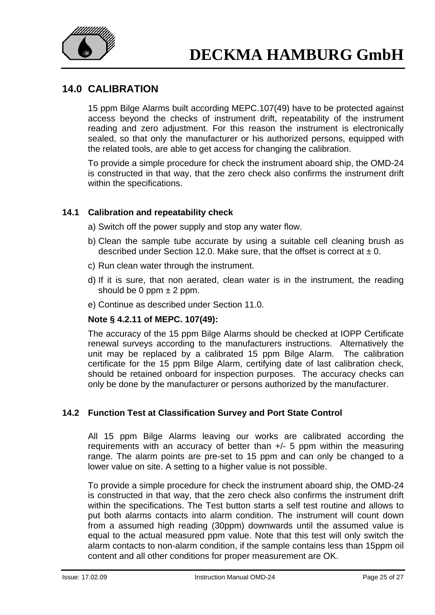

## **14.0 CALIBRATION**

15 ppm Bilge Alarms built according MEPC.107(49) have to be protected against access beyond the checks of instrument drift, repeatability of the instrument reading and zero adjustment. For this reason the instrument is electronically sealed, so that only the manufacturer or his authorized persons, equipped with the related tools, are able to get access for changing the calibration.

To provide a simple procedure for check the instrument aboard ship, the OMD-24 is constructed in that way, that the zero check also confirms the instrument drift within the specifications.

### **14.1 Calibration and repeatability check**

- a) Switch off the power supply and stop any water flow.
- b) Clean the sample tube accurate by using a suitable cell cleaning brush as described under Section 12.0. Make sure, that the offset is correct at  $\pm$  0.
- c) Run clean water through the instrument.
- d) If it is sure, that non aerated, clean water is in the instrument, the reading should be 0 ppm  $\pm$  2 ppm.
- e) Continue as described under Section 11.0.

### **Note § 4.2.11 of MEPC. 107(49):**

The accuracy of the 15 ppm Bilge Alarms should be checked at IOPP Certificate renewal surveys according to the manufacturers instructions. Alternatively the unit may be replaced by a calibrated 15 ppm Bilge Alarm. The calibration certificate for the 15 ppm Bilge Alarm, certifying date of last calibration check, should be retained onboard for inspection purposes. The accuracy checks can only be done by the manufacturer or persons authorized by the manufacturer.

### **14.2 Function Test at Classification Survey and Port State Control**

All 15 ppm Bilge Alarms leaving our works are calibrated according the requirements with an accuracy of better than +/- 5 ppm within the measuring range. The alarm points are pre-set to 15 ppm and can only be changed to a lower value on site. A setting to a higher value is not possible.

To provide a simple procedure for check the instrument aboard ship, the OMD-24 is constructed in that way, that the zero check also confirms the instrument drift within the specifications. The Test button starts a self test routine and allows to put both alarms contacts into alarm condition. The instrument will count down from a assumed high reading (30ppm) downwards until the assumed value is equal to the actual measured ppm value. Note that this test will only switch the alarm contacts to non-alarm condition, if the sample contains less than 15ppm oil content and all other conditions for proper measurement are OK.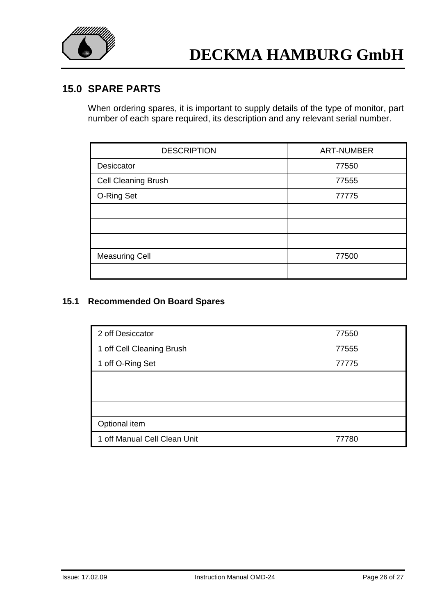

### **15.0 SPARE PARTS**

When ordering spares, it is important to supply details of the type of monitor, part number of each spare required, its description and any relevant serial number.

| <b>DESCRIPTION</b>         | <b>ART-NUMBER</b> |
|----------------------------|-------------------|
| Desiccator                 | 77550             |
| <b>Cell Cleaning Brush</b> | 77555             |
| O-Ring Set                 | 77775             |
|                            |                   |
|                            |                   |
|                            |                   |
| <b>Measuring Cell</b>      | 77500             |
|                            |                   |

### **15.1 Recommended On Board Spares**

| 2 off Desiccator             | 77550 |
|------------------------------|-------|
| 1 off Cell Cleaning Brush    | 77555 |
| 1 off O-Ring Set             | 77775 |
|                              |       |
|                              |       |
|                              |       |
| Optional item                |       |
| 1 off Manual Cell Clean Unit | 77780 |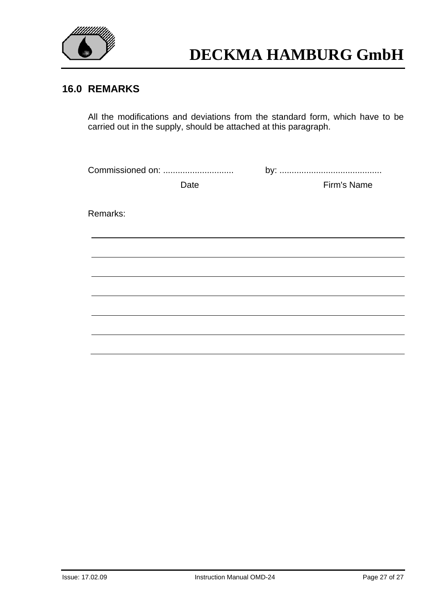

## **16.0 REMARKS**

All the modifications and deviations from the standard form, which have to be carried out in the supply, should be attached at this paragraph.

| Commissioned on: |             |  |  |
|------------------|-------------|--|--|
| Date             | Firm's Name |  |  |
|                  |             |  |  |
| Remarks:         |             |  |  |
|                  |             |  |  |
|                  |             |  |  |
|                  |             |  |  |
|                  |             |  |  |
|                  |             |  |  |
|                  |             |  |  |
|                  |             |  |  |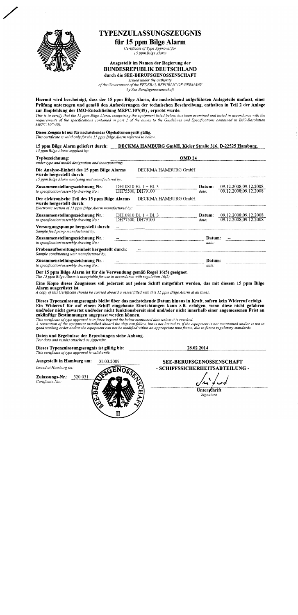

### **TYPENZULASSUNGSZEUGNIS**

#### für 15 ppm Bilge Alarm

Certificate of Type Approval for 15 ppm Bilge Alarm

#### Ausgestellt im Namen der Regierung der **BUNDESREPUBLIK DEUTSCHLAND** durch die SEE-BERUFSGENOSSENSCHAFT

Issued under the authority of the Government of the FEDERAL REPUBLIC OF GERMANY

by See-Berufsgenossenschaft

Hiermit wird bescheinigt, dass der 15 ppm Bilge Alarm, die nachstehend aufgeführten Anlageteile umfasst, einer Prüfung unterzogen und gemäß den Anforderungen der technischen Beschreibung, enthalten in Teil 2 der Anlage zur Empfehlung der IMO-Entschließung MEPC.107(49), erprobt wurde.

This is to certify that the 15 ppm Bilge Alarm, comprising the equipment listed below, has been examined and tested in accordance with the requirements of the specifications contained in part  $2$  of the annex to the Guidelines and Specifications contained in IMO-Resolution MEPC.107(49).

Dieses Zeugnis ist nur für nachstehendes Ölgehaltsmessgerät gültig. This certificate is valid only for the 15 ppm Bilge Alarm referred to below.

15 ppm Bilge Alarm geliefert durch: DECKMA HAMBURG GmbH, Kieler Straße 316, D-22525 Hamburg, 15 ppm Bilge Alarm supplied by: Typbezeichnung: **OMD 24** under type and model designation and incorporating: Die Analyse-Einheit des 15 ppm Bilge Alarms DECKMA HAMBURG GmbH wurde hergestellt durch: 15 ppm Bilge Alarm analysing unit manufactured by: 09.12.2008;09.12.2008<br>09.12.2008;09.12.2008 Zusammenstellungszeichnung Nr.: DH10810 Bl. 1 + Bl. 3 Datum: DH75500, DH79100 to specification/assembly drawing  $No.$ :  $date^*$ Der elektronische Teil des 15 ppm Bilge Alarms DECKMA HAMBURG GmbH wurde hergestellt durch: Electronic section of 15 ppm Bilge Alarm manufactured by: DH10810 Bl. 1 + Bl. 3<br>DH77500, DH79100 09.12.2008.09.12.2008<br>09.12.2008.09.12.2008 Zusammenstellungszeichnung Nr.: Datum: to specification/assembly drawing  $No.$ : date: Versorgungspumpe hergestellt durch: Sample feed pump manufactured by: Zusammenstellungszeichnung Nr.: Datum: to specification/assembly drawing No.. date: Probenaufbereitungseinheit hergestellt durch: Sample conditioning unit manufactured by: Zusammenstellungszeichnung Nr.: Datum: to specification/assembly drawing No. date: Der 15 ppm Bilge Alarm ist für die Verwendung gemäß Regel 16(5) geeignet. The 15 ppm Bilge Alarm is acceptable for use in accordance with regulation  $16(5)$ Eine Kopie dieses Zeugnisses soll jederzeit auf jedem Schiff mitgeführt werden, das mit diesem 15 ppm Bilge Alarm ausgerüstet ist. A copy of this Certificate should be carried aboard a vessel fitted with this 15 ppm Bilge Alarm at all times. Dieses Typenzulassungszeugnis bleibt über das nachstehende Datum hinaus in Kraft, sofern kein Widerruf erfolgt. Ein Widerruf für auf einem Schiff eingebaute Einrichtungen kann z.B. erfolgen, wenn diese nicht gefahren und/oder nicht gewartet und/oder nicht funktionsbereit sind und/oder nicht innerhalb einer angemessenen Frist an zukünftige Bestimmungen angepasst werden können. This certificate of type approval is in force beyond the below mentioned date unless it is revoked.

A revocation of the equipment installed aboard the ship can follow, but is not limited to, if the equipment is not maintained and/or is not in good working order and/or the equipment can not be modified within an appropria

Daten und Ergebnisse der Erprobungen siehe Anhang. Test data and results attached as Appendix.

| Dieses Typenzulassungszeugnis ist gültig bis:<br>This certificate of type approval is valid until: |            | 28.02.2014                                                         |  |
|----------------------------------------------------------------------------------------------------|------------|--------------------------------------------------------------------|--|
| Ausgestellt in Hamburg am:<br>Issued at Hamburg on:                                                | 01.03.2009 | <b>SEE-BERUFSGENOSSENSCHAFT</b><br>- SCHIFFSSICHERHEITSABTEILUNG - |  |
| Zulassungs-Nr.:<br>320 031<br>Certificate-No.:                                                     |            | Unterschrift<br>Signature                                          |  |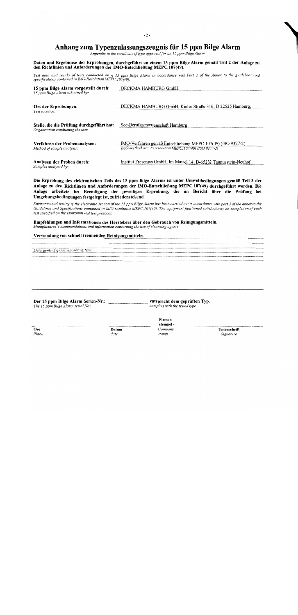### Anhang zum Typenzulassungszeugnis für 15 ppm Bilge Alarm

Appendix to the certificate of type approval for an 15 ppm Bilge Alarm

## Daten und Ergebnisse der Erprobungen, durchgeführt an einem 15 ppm Bilge Alarm gemäß Teil 2 der Anlage zu<br>den Richtlinien und Anforderungen der IMO-Entschließung MEPC.107(49).

Test data and results of tests conducted on a 15 ppm Bilge Alarm in accordance with Part 2 of the Annex to the guidelines and<br>specifications contained in IMO-Resolution MEPC.107(49).

| 15 ppm Bilge Alarm vorgestellt durch:<br>15 ppm Bilge Alarm submitted by:      | DFCKMA HAMBURG GmbH                                                                                                    |
|--------------------------------------------------------------------------------|------------------------------------------------------------------------------------------------------------------------|
| Ort der Erprobungen:<br>Test location:                                         | DECKMA HAMBURG GmbH, Kieler Straße 316, D 22525 Hamburg,                                                               |
| Stelle, die die Prüfung durchgeführt hat:<br>Organization conducting the test: | See-Berufsgenossenschaft Hamburg                                                                                       |
| Verfahren der Probenanalysen:<br>Method of sample analysis:                    | IMO-Verfahren gemäß Entschließung MEPC.107(49) (ISO 9377-2)<br>IMO-method acc. to resolution MEPC.107(49) (ISO 9377-2) |
| Analysen der Proben durch:<br>Samples analysed by:                             | Institut Fresenius GmbH, Im Maisel 14, D-65232 Taunusstein-Neuhof                                                      |

Die Erprobung des elektronischen Teils des 15 ppm Bilge Alarms ist unter Umweltbedingungen gemäß Teil 3 der Anlage zu den Richtlinien und Anforderungen der IMO-Entschließung MEPC.107(49) durchgeführt worden. Die Anlage arbeitete bei Beendigung der jeweiligen Erprobung, die im Bericht über die Prüfung bei Umgebungsbedingungen festgelegt ist, zufriedenstellend.

Environmental testing of the electronic section of the 15 ppm Bilge Alarm has been carried out in accordance with part 3 of the annex to the Guidelines and Specifications contained in IMO resolution MEPC.107(49). The equipment functioned satisfactorily on completion of each test specified on the environmental test protocol.

Empfehlungen und Informationen des Herstellers über den Gebrauch von Reinigungsmitteln. Manufactures 'recommendations and information concerning the use of cleansing agents

#### Verwendung von schnell trennenden Reinigungsmitteln.

Detergents of quick separating type.

Der 15 ppm Bilge Alarm Serien-Nr.: The 15 ppm Bilge Alarm serial No.:

entspricht dem geprüften Typ. complies with the tested type.

> Firmenstempel -

Company

stamp

 $\overline{Ort}$ Place Datum date

Unterschrift Signature